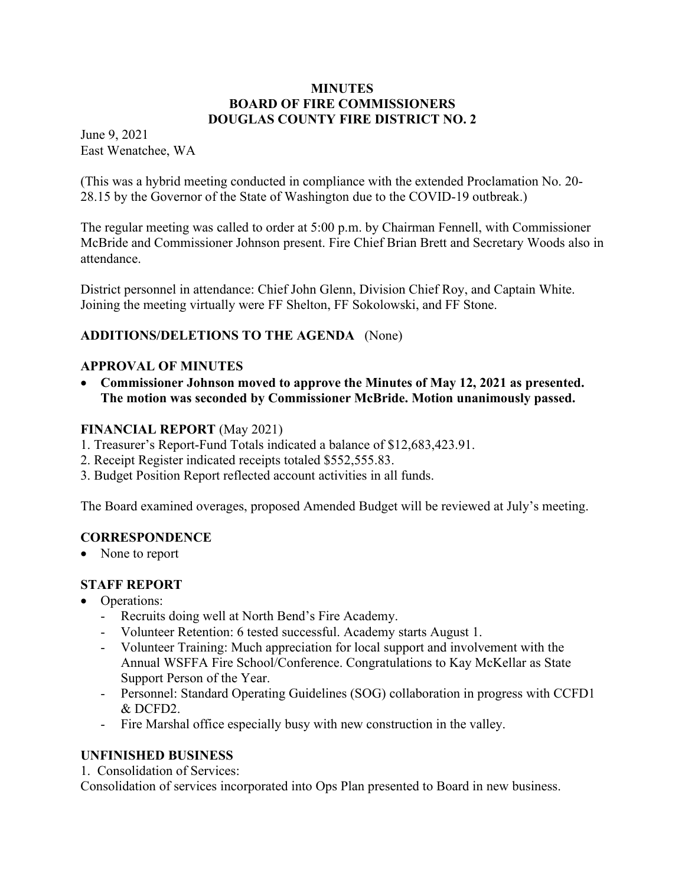#### **MINUTES BOARD OF FIRE COMMISSIONERS DOUGLAS COUNTY FIRE DISTRICT NO. 2**

June 9, 2021 East Wenatchee, WA

(This was a hybrid meeting conducted in compliance with the extended Proclamation No. 20- 28.15 by the Governor of the State of Washington due to the COVID-19 outbreak.)

The regular meeting was called to order at 5:00 p.m. by Chairman Fennell, with Commissioner McBride and Commissioner Johnson present. Fire Chief Brian Brett and Secretary Woods also in attendance.

District personnel in attendance: Chief John Glenn, Division Chief Roy, and Captain White. Joining the meeting virtually were FF Shelton, FF Sokolowski, and FF Stone.

# **ADDITIONS/DELETIONS TO THE AGENDA** (None)

### **APPROVAL OF MINUTES**

 **Commissioner Johnson moved to approve the Minutes of May 12, 2021 as presented. The motion was seconded by Commissioner McBride. Motion unanimously passed.** 

#### **FINANCIAL REPORT** (May 2021)

- 1. Treasurer's Report-Fund Totals indicated a balance of \$12,683,423.91.
- 2. Receipt Register indicated receipts totaled \$552,555.83.
- 3. Budget Position Report reflected account activities in all funds.

The Board examined overages, proposed Amended Budget will be reviewed at July's meeting.

#### **CORRESPONDENCE**

• None to report

# **STAFF REPORT**

- Operations:
	- Recruits doing well at North Bend's Fire Academy.
	- Volunteer Retention: 6 tested successful. Academy starts August 1.
	- Volunteer Training: Much appreciation for local support and involvement with the Annual WSFFA Fire School/Conference. Congratulations to Kay McKellar as State Support Person of the Year.
	- Personnel: Standard Operating Guidelines (SOG) collaboration in progress with CCFD1 & DCFD2.
	- Fire Marshal office especially busy with new construction in the valley.

# **UNFINISHED BUSINESS**

1. Consolidation of Services:

Consolidation of services incorporated into Ops Plan presented to Board in new business.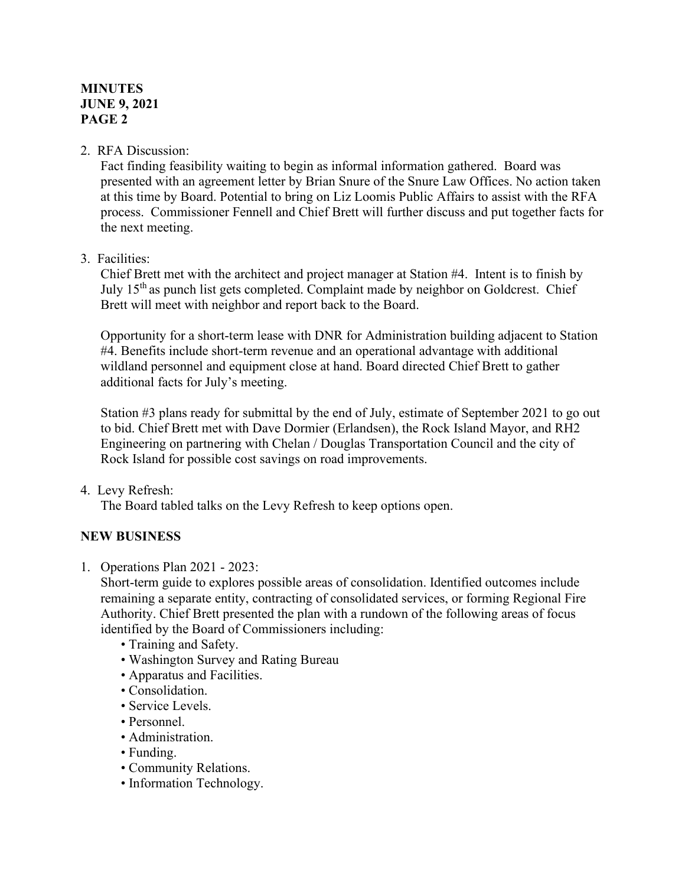#### **MINUTES JUNE 9, 2021 PAGE 2**

#### 2. RFA Discussion:

Fact finding feasibility waiting to begin as informal information gathered. Board was presented with an agreement letter by Brian Snure of the Snure Law Offices. No action taken at this time by Board. Potential to bring on Liz Loomis Public Affairs to assist with the RFA process. Commissioner Fennell and Chief Brett will further discuss and put together facts for the next meeting.

#### 3. Facilities:

Chief Brett met with the architect and project manager at Station #4. Intent is to finish by July  $15<sup>th</sup>$  as punch list gets completed. Complaint made by neighbor on Goldcrest. Chief Brett will meet with neighbor and report back to the Board.

Opportunity for a short-term lease with DNR for Administration building adjacent to Station #4. Benefits include short-term revenue and an operational advantage with additional wildland personnel and equipment close at hand. Board directed Chief Brett to gather additional facts for July's meeting.

Station #3 plans ready for submittal by the end of July, estimate of September 2021 to go out to bid. Chief Brett met with Dave Dormier (Erlandsen), the Rock Island Mayor, and RH2 Engineering on partnering with Chelan / Douglas Transportation Council and the city of Rock Island for possible cost savings on road improvements.

4. Levy Refresh:

The Board tabled talks on the Levy Refresh to keep options open.

#### **NEW BUSINESS**

1. Operations Plan 2021 - 2023:

Short-term guide to explores possible areas of consolidation. Identified outcomes include remaining a separate entity, contracting of consolidated services, or forming Regional Fire Authority. Chief Brett presented the plan with a rundown of the following areas of focus identified by the Board of Commissioners including:

- Training and Safety.
- Washington Survey and Rating Bureau
- Apparatus and Facilities.
- Consolidation.
- Service Levels.
- Personnel.
- Administration.
- Funding.
- Community Relations.
- Information Technology.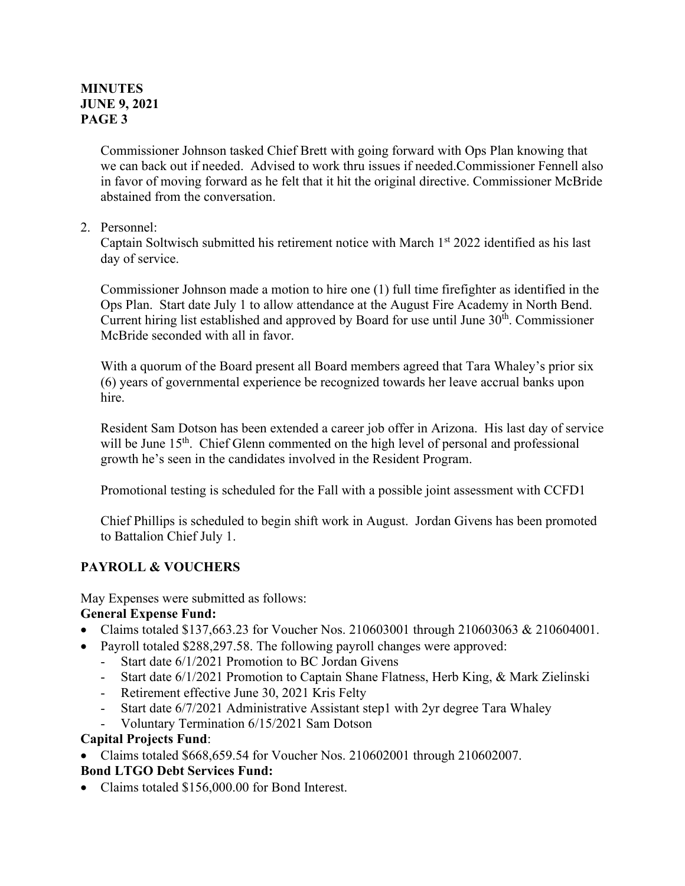#### **MINUTES JUNE 9, 2021 PAGE 3**

Commissioner Johnson tasked Chief Brett with going forward with Ops Plan knowing that we can back out if needed. Advised to work thru issues if needed.Commissioner Fennell also in favor of moving forward as he felt that it hit the original directive. Commissioner McBride abstained from the conversation.

#### 2. Personnel:

Captain Soltwisch submitted his retirement notice with March  $1<sup>st</sup>$  2022 identified as his last day of service.

Commissioner Johnson made a motion to hire one (1) full time firefighter as identified in the Ops Plan. Start date July 1 to allow attendance at the August Fire Academy in North Bend. Current hiring list established and approved by Board for use until June  $30<sup>th</sup>$ . Commissioner McBride seconded with all in favor.

With a quorum of the Board present all Board members agreed that Tara Whaley's prior six (6) years of governmental experience be recognized towards her leave accrual banks upon hire.

Resident Sam Dotson has been extended a career job offer in Arizona. His last day of service will be June 15<sup>th</sup>. Chief Glenn commented on the high level of personal and professional growth he's seen in the candidates involved in the Resident Program.

Promotional testing is scheduled for the Fall with a possible joint assessment with CCFD1

Chief Phillips is scheduled to begin shift work in August. Jordan Givens has been promoted to Battalion Chief July 1.

# **PAYROLL & VOUCHERS**

May Expenses were submitted as follows:

#### **General Expense Fund:**

- Claims totaled \$137,663.23 for Voucher Nos. 210603001 through 210603063 & 210604001.
- Payroll totaled \$288,297.58. The following payroll changes were approved:
	- Start date  $6/1/2021$  Promotion to BC Jordan Givens
	- Start date 6/1/2021 Promotion to Captain Shane Flatness, Herb King, & Mark Zielinski
	- Retirement effective June 30, 2021 Kris Felty
	- Start date 6/7/2021 Administrative Assistant step1 with 2yr degree Tara Whaley
	- Voluntary Termination 6/15/2021 Sam Dotson

#### **Capital Projects Fund**:

Claims totaled \$668,659.54 for Voucher Nos. 210602001 through 210602007.

#### **Bond LTGO Debt Services Fund:**

• Claims totaled \$156,000.00 for Bond Interest.